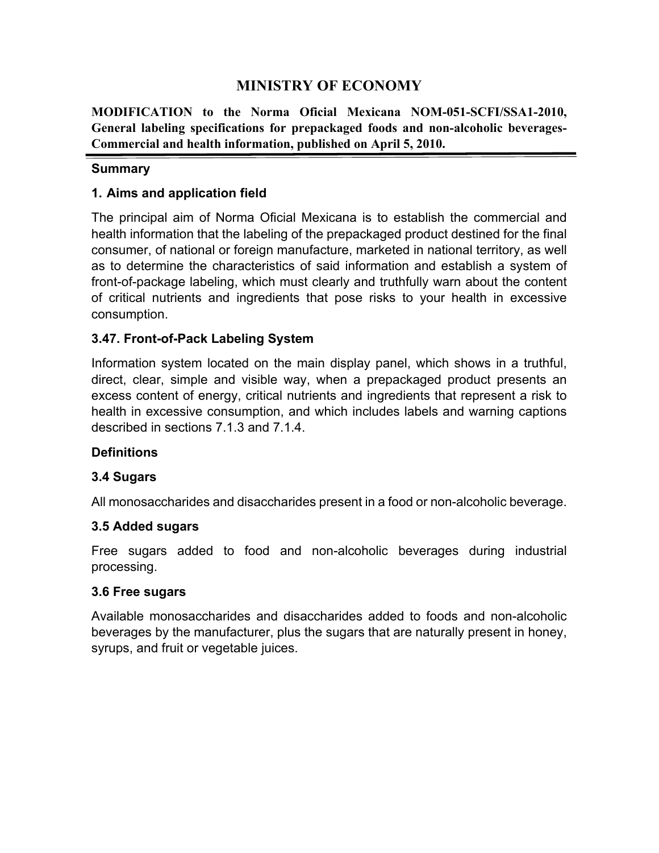# **MINISTRY OF ECONOMY**

**MODIFICATION to the Norma Oficial Mexicana NOM-051-SCFI/SSA1-2010, General labeling specifications for prepackaged foods and non-alcoholic beverages-Commercial and health information, published on April 5, 2010.**

## **Summary**

# **1. Aims and application field**

The principal aim of Norma Oficial Mexicana is to establish the commercial and health information that the labeling of the prepackaged product destined for the final consumer, of national or foreign manufacture, marketed in national territory, as well as to determine the characteristics of said information and establish a system of front-of-package labeling, which must clearly and truthfully warn about the content of critical nutrients and ingredients that pose risks to your health in excessive consumption.

# **3.47. Front-of-Pack Labeling System**

Information system located on the main display panel, which shows in a truthful, direct, clear, simple and visible way, when a prepackaged product presents an excess content of energy, critical nutrients and ingredients that represent a risk to health in excessive consumption, and which includes labels and warning captions described in sections 7.1.3 and 7.1.4.

# **Definitions**

## **3.4 Sugars**

All monosaccharides and disaccharides present in a food or non-alcoholic beverage.

## **3.5 Added sugars**

Free sugars added to food and non-alcoholic beverages during industrial processing.

## **3.6 Free sugars**

Available monosaccharides and disaccharides added to foods and non-alcoholic beverages by the manufacturer, plus the sugars that are naturally present in honey, syrups, and fruit or vegetable juices.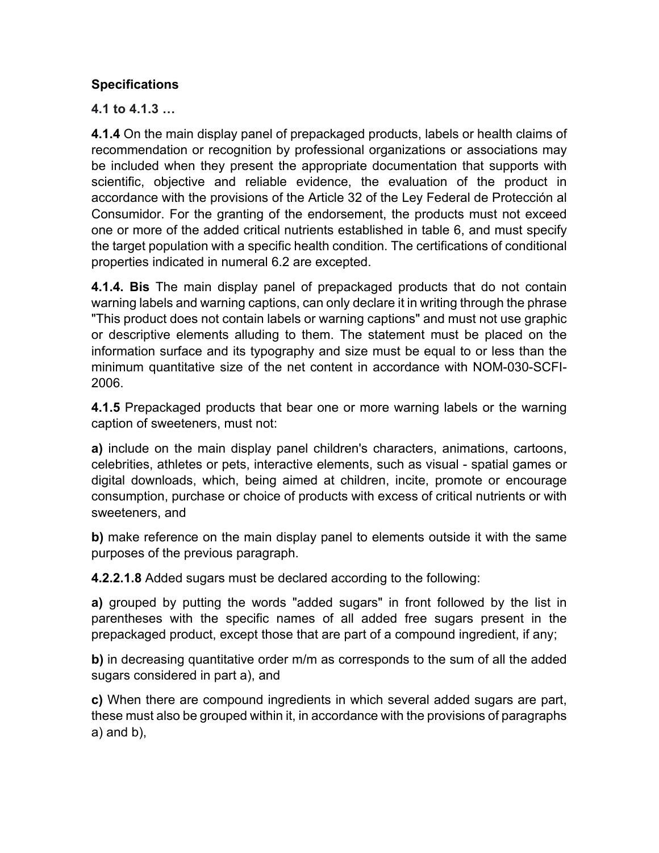# **Specifications**

**4.1 to 4.1.3 …**

**4.1.4** On the main display panel of prepackaged products, labels or health claims of recommendation or recognition by professional organizations or associations may be included when they present the appropriate documentation that supports with scientific, objective and reliable evidence, the evaluation of the product in accordance with the provisions of the Article 32 of the Ley Federal de Protección al Consumidor. For the granting of the endorsement, the products must not exceed one or more of the added critical nutrients established in table 6, and must specify the target population with a specific health condition. The certifications of conditional properties indicated in numeral 6.2 are excepted.

**4.1.4. Bis** The main display panel of prepackaged products that do not contain warning labels and warning captions, can only declare it in writing through the phrase "This product does not contain labels or warning captions" and must not use graphic or descriptive elements alluding to them. The statement must be placed on the information surface and its typography and size must be equal to or less than the minimum quantitative size of the net content in accordance with NOM-030-SCFI-2006.

**4.1.5** Prepackaged products that bear one or more warning labels or the warning caption of sweeteners, must not:

**a)** include on the main display panel children's characters, animations, cartoons, celebrities, athletes or pets, interactive elements, such as visual - spatial games or digital downloads, which, being aimed at children, incite, promote or encourage consumption, purchase or choice of products with excess of critical nutrients or with sweeteners, and

**b)** make reference on the main display panel to elements outside it with the same purposes of the previous paragraph.

**4.2.2.1.8** Added sugars must be declared according to the following:

**a)** grouped by putting the words "added sugars" in front followed by the list in parentheses with the specific names of all added free sugars present in the prepackaged product, except those that are part of a compound ingredient, if any;

**b)** in decreasing quantitative order m/m as corresponds to the sum of all the added sugars considered in part a), and

**c)** When there are compound ingredients in which several added sugars are part, these must also be grouped within it, in accordance with the provisions of paragraphs a) and b),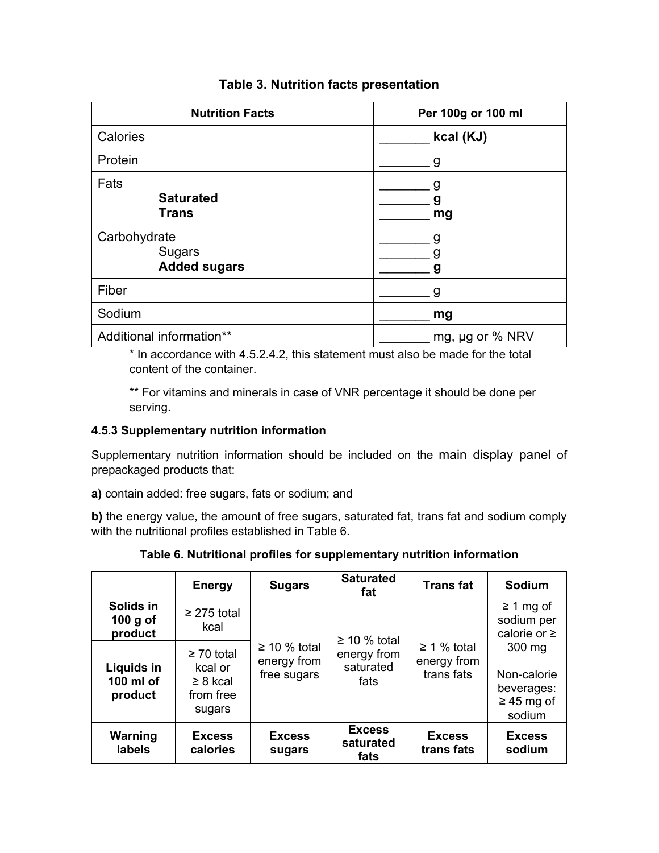| <b>Nutrition Facts</b>                               | Per 100g or 100 ml |  |  |
|------------------------------------------------------|--------------------|--|--|
| Calories                                             | kcal (KJ)          |  |  |
| Protein                                              | g                  |  |  |
| Fats<br><b>Saturated</b><br><b>Trans</b>             | g<br>g<br>mg       |  |  |
| Carbohydrate<br><b>Sugars</b><br><b>Added sugars</b> | g<br>q             |  |  |
| Fiber                                                | g                  |  |  |
| Sodium                                               | mg                 |  |  |
| Additional information**                             | mg, µg or % NRV    |  |  |

# **Table 3. Nutrition facts presentation**

\* In accordance with 4.5.2.4.2, this statement must also be made for the total content of the container.

\*\* For vitamins and minerals in case of VNR percentage it should be done per serving.

#### **4.5.3 Supplementary nutrition information**

Supplementary nutrition information should be included on the main display panel of prepackaged products that:

**a)** contain added: free sugars, fats or sodium; and

**b)** the energy value, the amount of free sugars, saturated fat, trans fat and sodium comply with the nutritional profiles established in Table 6.

|                                    | <b>Energy</b>                                                      | <b>Sugars</b>                                   | <b>Saturated</b><br>fat            | <b>Trans fat</b>                              | Sodium                                                                     |  |  |
|------------------------------------|--------------------------------------------------------------------|-------------------------------------------------|------------------------------------|-----------------------------------------------|----------------------------------------------------------------------------|--|--|
| Solids in<br>100 g of<br>product   | $\geq$ 275 total<br>kcal                                           | $\geq$ 10 % total<br>energy from<br>free sugars | $\geq$ 10 % total                  |                                               | $\geq 1$ mg of<br>sodium per<br>calorie or $\geq$                          |  |  |
| Liquids in<br>100 ml of<br>product | $\geq 70$ total<br>kcal or<br>$\geq 8$ kcal<br>from free<br>sugars |                                                 | energy from<br>saturated<br>fats   | $\geq 1$ % total<br>energy from<br>trans fats | $300 \text{ mg}$<br>Non-calorie<br>beverages:<br>$\geq$ 45 mg of<br>sodium |  |  |
| Warning<br>labels                  | <b>Excess</b><br>calories                                          | <b>Excess</b><br>sugars                         | <b>Excess</b><br>saturated<br>fats | <b>Excess</b><br>trans fats                   | <b>Excess</b><br>sodium                                                    |  |  |

**Table 6. Nutritional profiles for supplementary nutrition information**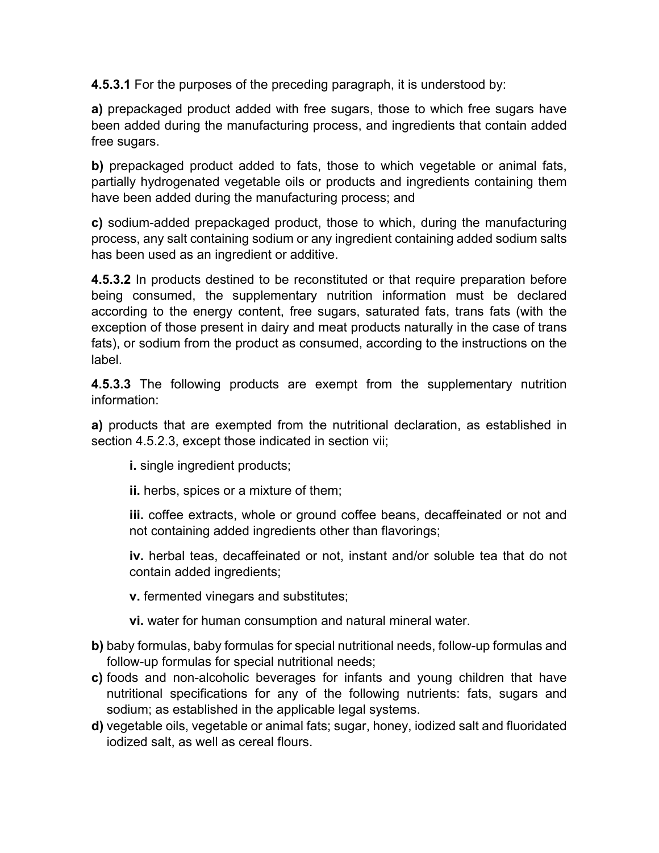**4.5.3.1** For the purposes of the preceding paragraph, it is understood by:

**a)** prepackaged product added with free sugars, those to which free sugars have been added during the manufacturing process, and ingredients that contain added free sugars.

**b)** prepackaged product added to fats, those to which vegetable or animal fats, partially hydrogenated vegetable oils or products and ingredients containing them have been added during the manufacturing process; and

**c)** sodium-added prepackaged product, those to which, during the manufacturing process, any salt containing sodium or any ingredient containing added sodium salts has been used as an ingredient or additive.

**4.5.3.2** In products destined to be reconstituted or that require preparation before being consumed, the supplementary nutrition information must be declared according to the energy content, free sugars, saturated fats, trans fats (with the exception of those present in dairy and meat products naturally in the case of trans fats), or sodium from the product as consumed, according to the instructions on the label.

**4.5.3.3** The following products are exempt from the supplementary nutrition information:

**a)** products that are exempted from the nutritional declaration, as established in section 4.5.2.3, except those indicated in section vii;

**i.** single ingredient products;

**ii.** herbs, spices or a mixture of them;

**iii.** coffee extracts, whole or ground coffee beans, decaffeinated or not and not containing added ingredients other than flavorings;

**iv.** herbal teas, decaffeinated or not, instant and/or soluble tea that do not contain added ingredients;

**v.** fermented vinegars and substitutes;

**vi.** water for human consumption and natural mineral water.

- **b)** baby formulas, baby formulas for special nutritional needs, follow-up formulas and follow-up formulas for special nutritional needs;
- **c)** foods and non-alcoholic beverages for infants and young children that have nutritional specifications for any of the following nutrients: fats, sugars and sodium; as established in the applicable legal systems.
- **d)** vegetable oils, vegetable or animal fats; sugar, honey, iodized salt and fluoridated iodized salt, as well as cereal flours.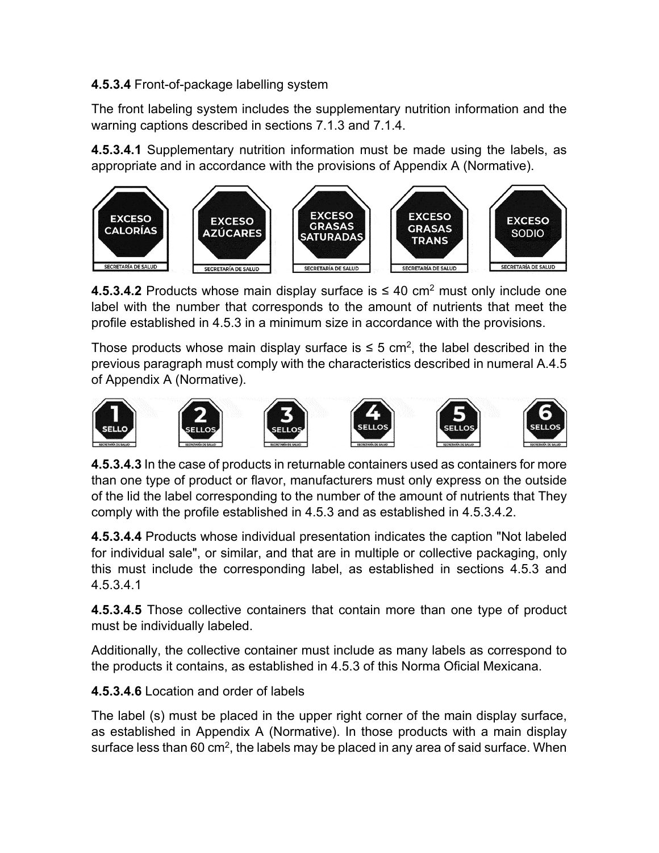# **4.5.3.4** Front-of-package labelling system

The front labeling system includes the supplementary nutrition information and the warning captions described in sections 7.1.3 and 7.1.4.

**4.5.3.4.1** Supplementary nutrition information must be made using the labels, as appropriate and in accordance with the provisions of Appendix A (Normative).



**4.5.3.4.2** Products whose main display surface is  $\leq 40$  cm<sup>2</sup> must only include one label with the number that corresponds to the amount of nutrients that meet the profile established in 4.5.3 in a minimum size in accordance with the provisions.

Those products whose main display surface is  $\leq$  5 cm<sup>2</sup>, the label described in the previous paragraph must comply with the characteristics described in numeral A.4.5 of Appendix A (Normative).



**4.5.3.4.3** In the case of products in returnable containers used as containers for more than one type of product or flavor, manufacturers must only express on the outside of the lid the label corresponding to the number of the amount of nutrients that They comply with the profile established in 4.5.3 and as established in 4.5.3.4.2.

**4.5.3.4.4** Products whose individual presentation indicates the caption "Not labeled for individual sale", or similar, and that are in multiple or collective packaging, only this must include the corresponding label, as established in sections 4.5.3 and 4.5.3.4.1

**4.5.3.4.5** Those collective containers that contain more than one type of product must be individually labeled.

Additionally, the collective container must include as many labels as correspond to the products it contains, as established in 4.5.3 of this Norma Oficial Mexicana.

**4.5.3.4.6** Location and order of labels

The label (s) must be placed in the upper right corner of the main display surface, as established in Appendix A (Normative). In those products with a main display surface less than 60 cm<sup>2</sup>, the labels may be placed in any area of said surface. When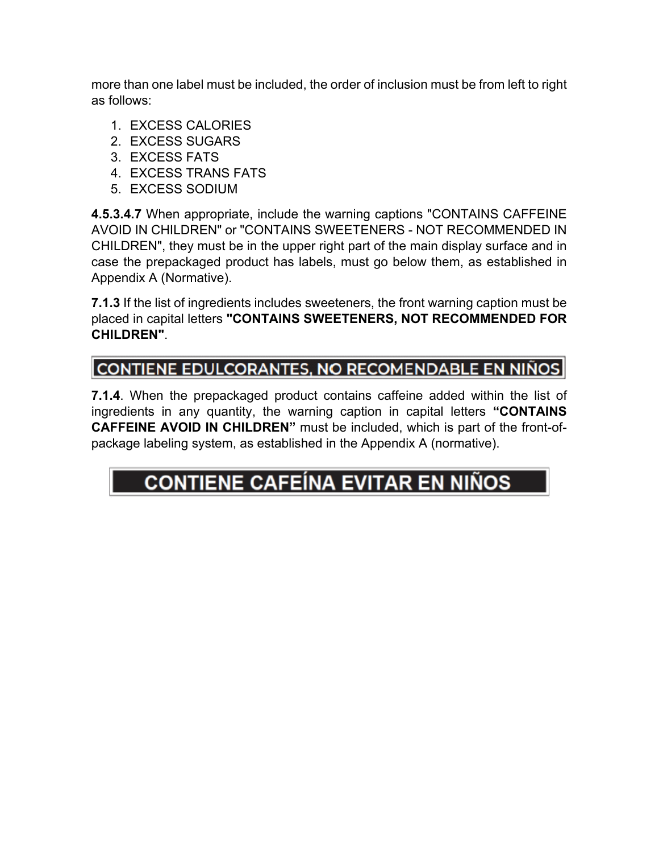more than one label must be included, the order of inclusion must be from left to right as follows:

- 1. EXCESS CALORIES
- 2. EXCESS SUGARS
- 3. EXCESS FATS
- 4. EXCESS TRANS FATS
- 5. EXCESS SODIUM

**4.5.3.4.7** When appropriate, include the warning captions "CONTAINS CAFFEINE AVOID IN CHILDREN" or "CONTAINS SWEETENERS - NOT RECOMMENDED IN CHILDREN", they must be in the upper right part of the main display surface and in case the prepackaged product has labels, must go below them, as established in Appendix A (Normative).

**7.1.3** If the list of ingredients includes sweeteners, the front warning caption must be placed in capital letters **"CONTAINS SWEETENERS, NOT RECOMMENDED FOR CHILDREN"**.

# CONTIENE EDULCORANTES, NO RECOMENDABLE EN NIÑOS

**7.1.4**. When the prepackaged product contains caffeine added within the list of ingredients in any quantity, the warning caption in capital letters **"CONTAINS CAFFEINE AVOID IN CHILDREN"** must be included, which is part of the front-ofpackage labeling system, as established in the Appendix A (normative).

# **CONTIENE CAFEÍNA EVITAR EN NIÑOS**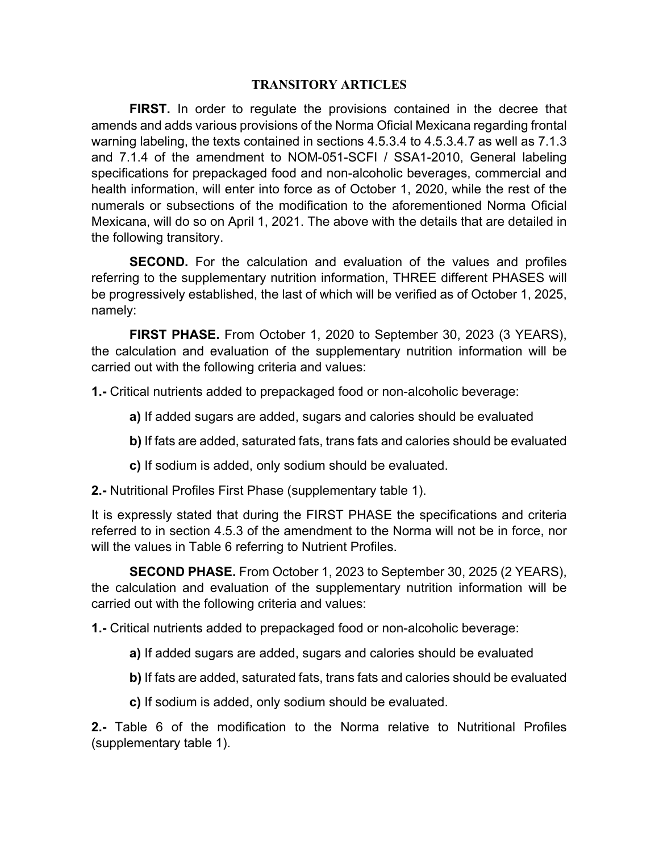#### **TRANSITORY ARTICLES**

**FIRST.** In order to regulate the provisions contained in the decree that amends and adds various provisions of the Norma Oficial Mexicana regarding frontal warning labeling, the texts contained in sections 4.5.3.4 to 4.5.3.4.7 as well as 7.1.3 and 7.1.4 of the amendment to NOM-051-SCFI / SSA1-2010, General labeling specifications for prepackaged food and non-alcoholic beverages, commercial and health information, will enter into force as of October 1, 2020, while the rest of the numerals or subsections of the modification to the aforementioned Norma Oficial Mexicana, will do so on April 1, 2021. The above with the details that are detailed in the following transitory.

**SECOND.** For the calculation and evaluation of the values and profiles referring to the supplementary nutrition information, THREE different PHASES will be progressively established, the last of which will be verified as of October 1, 2025, namely:

**FIRST PHASE.** From October 1, 2020 to September 30, 2023 (3 YEARS), the calculation and evaluation of the supplementary nutrition information will be carried out with the following criteria and values:

**1.-** Critical nutrients added to prepackaged food or non-alcoholic beverage:

- **a)** If added sugars are added, sugars and calories should be evaluated
- **b)** If fats are added, saturated fats, trans fats and calories should be evaluated
- **c)** If sodium is added, only sodium should be evaluated.
- **2.-** Nutritional Profiles First Phase (supplementary table 1).

It is expressly stated that during the FIRST PHASE the specifications and criteria referred to in section 4.5.3 of the amendment to the Norma will not be in force, nor will the values in Table 6 referring to Nutrient Profiles.

**SECOND PHASE.** From October 1, 2023 to September 30, 2025 (2 YEARS), the calculation and evaluation of the supplementary nutrition information will be carried out with the following criteria and values:

**1.-** Critical nutrients added to prepackaged food or non-alcoholic beverage:

- **a)** If added sugars are added, sugars and calories should be evaluated
- **b)** If fats are added, saturated fats, trans fats and calories should be evaluated
- **c)** If sodium is added, only sodium should be evaluated.

**2.-** Table 6 of the modification to the Norma relative to Nutritional Profiles (supplementary table 1).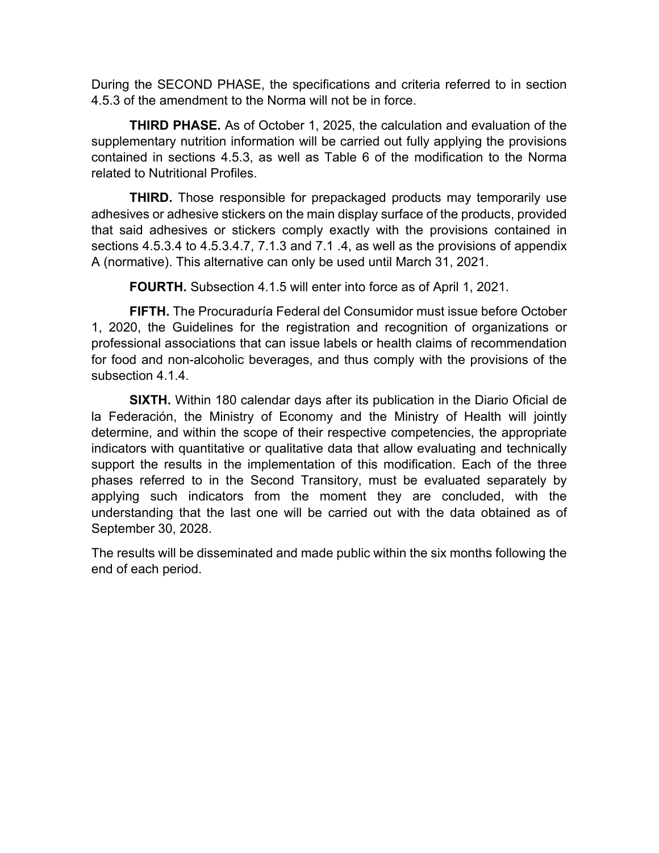During the SECOND PHASE, the specifications and criteria referred to in section 4.5.3 of the amendment to the Norma will not be in force.

**THIRD PHASE.** As of October 1, 2025, the calculation and evaluation of the supplementary nutrition information will be carried out fully applying the provisions contained in sections 4.5.3, as well as Table 6 of the modification to the Norma related to Nutritional Profiles.

**THIRD.** Those responsible for prepackaged products may temporarily use adhesives or adhesive stickers on the main display surface of the products, provided that said adhesives or stickers comply exactly with the provisions contained in sections 4.5.3.4 to 4.5.3.4.7, 7.1.3 and 7.1 .4, as well as the provisions of appendix A (normative). This alternative can only be used until March 31, 2021.

**FOURTH.** Subsection 4.1.5 will enter into force as of April 1, 2021.

**FIFTH.** The Procuraduría Federal del Consumidor must issue before October 1, 2020, the Guidelines for the registration and recognition of organizations or professional associations that can issue labels or health claims of recommendation for food and non-alcoholic beverages, and thus comply with the provisions of the subsection 4.1.4.

**SIXTH.** Within 180 calendar days after its publication in the Diario Oficial de la Federación, the Ministry of Economy and the Ministry of Health will jointly determine, and within the scope of their respective competencies, the appropriate indicators with quantitative or qualitative data that allow evaluating and technically support the results in the implementation of this modification. Each of the three phases referred to in the Second Transitory, must be evaluated separately by applying such indicators from the moment they are concluded, with the understanding that the last one will be carried out with the data obtained as of September 30, 2028.

The results will be disseminated and made public within the six months following the end of each period.